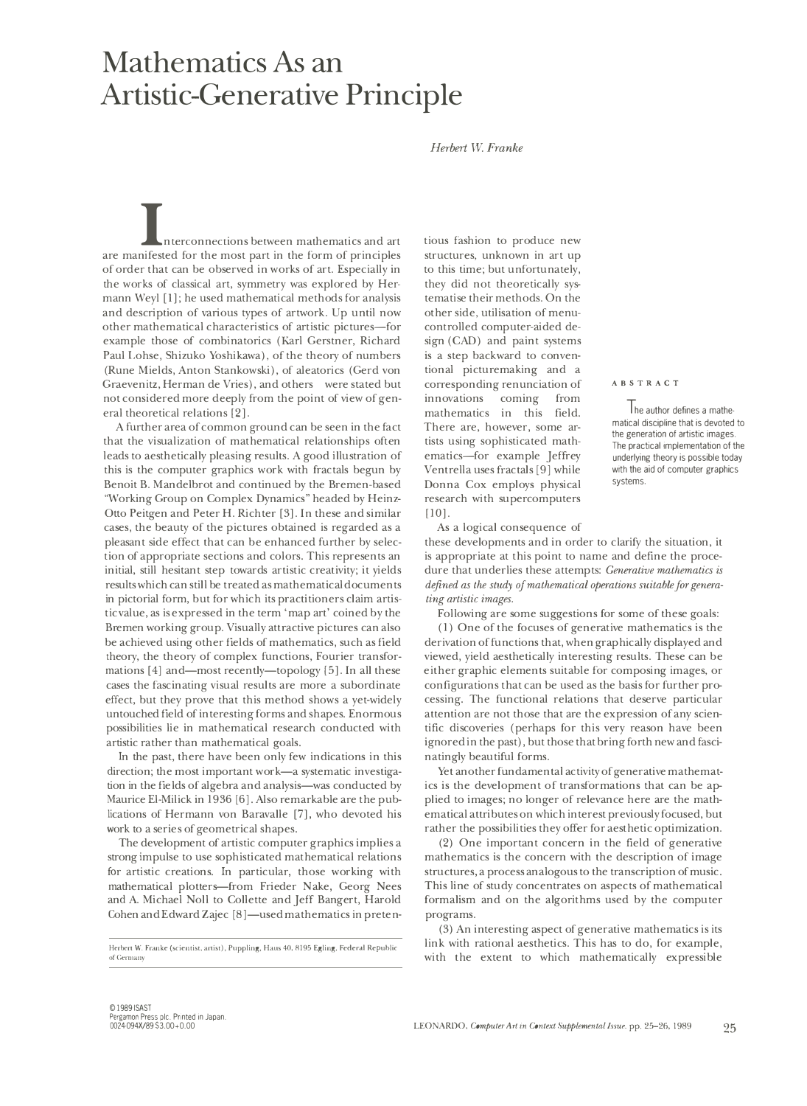## **Mathematics As an Artistic-Generative Principle**

*Herbert W Franke* 

nterconnections between mathematics and art are manifested for the most part in the form of principles of order that can be observed in works of art. Especially in the works of classical art, symmetry was explored by Her-· mann Wey! [l]; he used mathematical methods for analysis and description of various types of artwork. Up until now other mathematical characteristics of artistic pictures-for example those of combinatorics (Karl Gerstner, Richard Paul Lohse, Shizuko Yoshikawa), of the theory of numbers (Rune Mields, Anton Stankowski), of aleatorics (Gerd von Graevenitz, Herman de Vries), and others were stated but not considered more deeply from the point of view of general theoretical relations [2].

A further area of common ground can be seen in the fact that the visualization of mathematical relationships often leads to aesthetically pleasing results. A good illustration of this is the computer graphics work with fractals begun by Benoit B. Mandelbrot and continued by the Bremen-based "Working Group on Complex Dynamics" headed by Heinz-Otto Peitgen and Peter H. Richter [3]. In these and similar cases, the beauty of the pictures obtained is regarded as a pleasant side effect that can be enhanced further by selection of appropriate sections and colors. This represents an initial, still hesitant step towards artistic creativity; it yields results which can still be treated as mathematical documents in pictorial form, but for which its practitioners claim artistic value, as is expressed in the term 'map art' coined by the Bremen working group. Visually attractive pictures can also be achieved using other fields of mathematics, such as field theory, the theory of complex functions, Fourier transformations [4] and—most recently—topology [5]. In all these cases the fascinating visual results are more a subordinate effect, but they prove that this method shows a yet-widely untouched field of interesting forms and shapes. Enormous possibilities lie in mathematical research conducted with artistic rather than mathematical goals.

In the past, there have been only few indications in this direction; the most important work—a systematic investigation in the fields of algebra and analysis-was conducted by Maurice El-Milick in 1936 [6]. Also remarkable are the publications of Hermann von Baravalle [7], who devoted his work to a series of geometrical shapes.

The development of artistic computer graphics implies a strong impulse to use sophisticated mathematical relations for artistic creations. In particular, those working with mathematical plotters-from Frieder Nake, Georg Nees and A. Michael Noll to Collette and Jeff Bangert, Harold Cohen and Edward Zajec [8]—used mathematics in pretentious fashion to produce new structures, unknown in art up to this time; but unfortunately, they did not theoretically systematise their methods. On the other side, utilisation of menucontrolled computer-aided design (CAD) and paint systems is a step backward to conventional picturemaking and a corresponding renunciation of innovations coming from mathematics in this field. There are, however, some artists using sophisticated mathematics-for example Jeffrey Ventrella uses fractals [9] while Donna Cox employs physical research with supercomputers [10].

As a logical consequence of

these developments and in order to clarify the situation, it is appropriate at this point to name and define the procedure that underlies these attempts: *Generative mathematics is defined as the study of mathematical operations suitable for generating artistic images.* 

Following are some suggestions for some of these goals:

( 1) One of the focuses of generative mathematics is the derivation of functions that, when graphically displayed and viewed, yield aesthetically interesting results. These can be either graphic elements suitable for composing images, or configurations that can be used as the basis for further processing. The functional relations that deserve particular attention are not those that are the expression of any scientific discoveries (perhaps for this very reason have been ignored in the past), but those that bring forth new and fascinatingly beautiful forms.

Yet another fundamental activity of generative mathematics is the development of transformations that can be applied to images; no longer of relevance here are the mathematical attributes on which interest previously focused, but rather the possibilities they offer for aesthetic optimization.

(2) One important concern in the field of generative mathematics is the concern with the description of image structures, a process analogous to the transcription of music. This line of study concentrates on aspects of mathematical formalism and on the algorithms used by the computer programs.

(3) An interesting aspect of generative mathematics is its link with rational aesthetics. This has to do, for example, with the extent to which mathematically expressible

## **ABSTRACT**

I he author defines a mathematical discipline that is devoted to the generation of artistic images. The practical implementation of the underlying theory is possible today with the aid of computer graphics systems.

**Herbert W. Franke (scientist, artist), Puppling, Haus 40, 8195 Egling, Federal Republic of Germany**